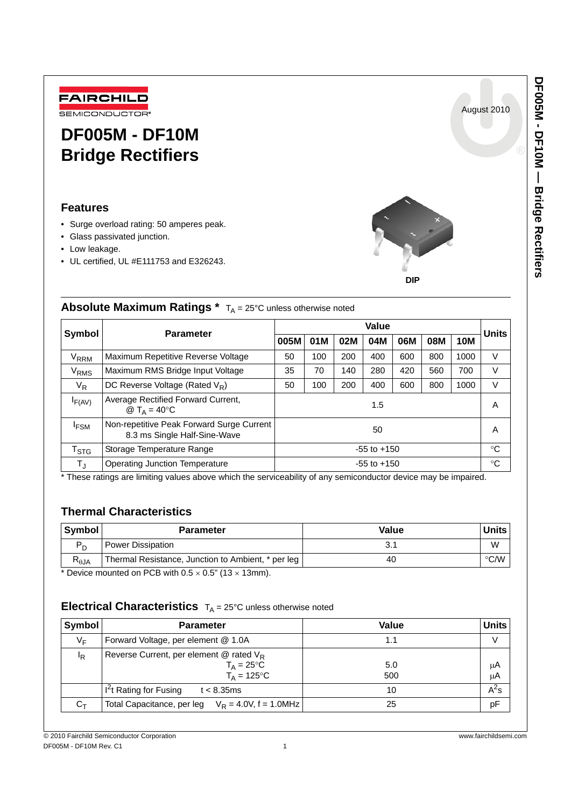August 2010



# **DF005M - DF10M Bridge Rectifiers**

### **Features**

- Surge overload rating: 50 amperes peak.
- Glass passivated junction.
- Low leakage.
- UL certified, UL #E111753 and E326243.



### **DIP**

## **Absolute Maximum Ratings** \*  $T_A = 25^{\circ}$ C unless otherwise noted

| Symbol                                                                                 | <b>Parameter</b>                                            | Value |     |     |                 |     |     |            | <b>Units</b> |
|----------------------------------------------------------------------------------------|-------------------------------------------------------------|-------|-----|-----|-----------------|-----|-----|------------|--------------|
|                                                                                        |                                                             | 005M  | 01M | 02M | 04M             | 06M | 08M | <b>10M</b> |              |
| V <sub>RRM</sub>                                                                       | Maximum Repetitive Reverse Voltage                          | 50    | 100 | 200 | 400             | 600 | 800 | 1000       | V            |
| Maximum RMS Bridge Input Voltage<br>V <sub>RMS</sub>                                   |                                                             | 35    | 70  | 140 | 280             | 420 | 560 | 700        | V            |
| $V_R$                                                                                  | DC Reverse Voltage (Rated $V_R$ )                           |       | 100 | 200 | 400             | 600 | 800 | 1000       | V            |
| $I_{F(AV)}$                                                                            | Average Rectified Forward Current,<br>@ $T_A = 40^{\circ}C$ |       |     |     | 1.5             |     |     |            | A            |
| Non-repetitive Peak Forward Surge Current<br>$I_{FSM}$<br>8.3 ms Single Half-Sine-Wave |                                                             | 50    |     |     |                 |     |     | A          |              |
| T <sub>STG</sub>                                                                       | Storage Temperature Range                                   |       |     |     | $-55$ to $+150$ |     |     |            | $^{\circ}C$  |
| $T_{\rm J}$                                                                            | <b>Operating Junction Temperature</b>                       |       |     |     | $-55$ to $+150$ |     |     |            | $^{\circ}C$  |

\* These ratings are limiting values above which the serviceability of any semiconductor device may be impaired.

### **Thermal Characteristics**

| Symbol                                                                                           | <b>Parameter</b>                                   | Value        | Units l       |  |
|--------------------------------------------------------------------------------------------------|----------------------------------------------------|--------------|---------------|--|
| $P_{D}$                                                                                          | <b>Power Dissipation</b>                           | $\mathbf{r}$ | W             |  |
| $\mathsf{r}_{\theta\mathsf{JA}}$                                                                 | Thermal Resistance, Junction to Ambient, * per leg | 40           | $\degree$ C/W |  |
| $*$ Devias maximized an DOD with $\Omega E$ of $\Omega$ $B^{\prime\prime}$ (4.9 $\sim$ 4.9 mays) |                                                    |              |               |  |

Device mounted on PCB with  $0.5 \times 0.5$ " (13  $\times$  13mm).

## **Electrical Characteristics**  $T_A = 25^\circ$ C unless otherwise noted

| Symbol         | <b>Parameter</b>                                                                      | Value      | <b>Units</b> |
|----------------|---------------------------------------------------------------------------------------|------------|--------------|
| VF             | Forward Voltage, per element @ 1.0A                                                   | 1.1        | V            |
| <sup>I</sup> R | Reverse Current, per element $@$ rated $V_R$<br>$T_A = 25^{\circ}C$<br>$T_A = 125$ °C | 5.0<br>500 | μA<br>μA     |
|                | $I2t$ Rating for Fusing<br>$t < 8.35$ ms                                              | 10         | $A^2$ s      |
| $C_T$          | Total Capacitance, per leg $V_R = 4.0V$ , f = 1.0MHz                                  | 25         | pF           |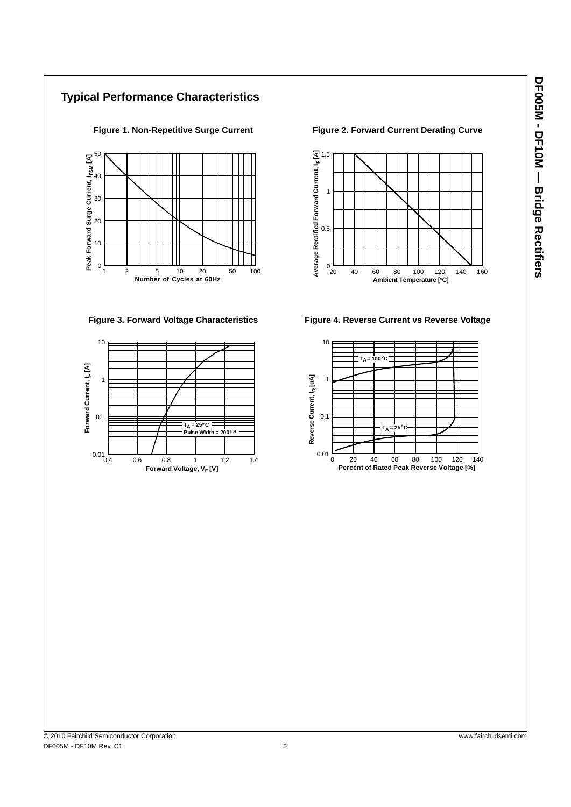# **Typical Performance Characteristics**







Figure 1. Non-Repetitive Surge Current Figure 2. Forward Current Derating Curve



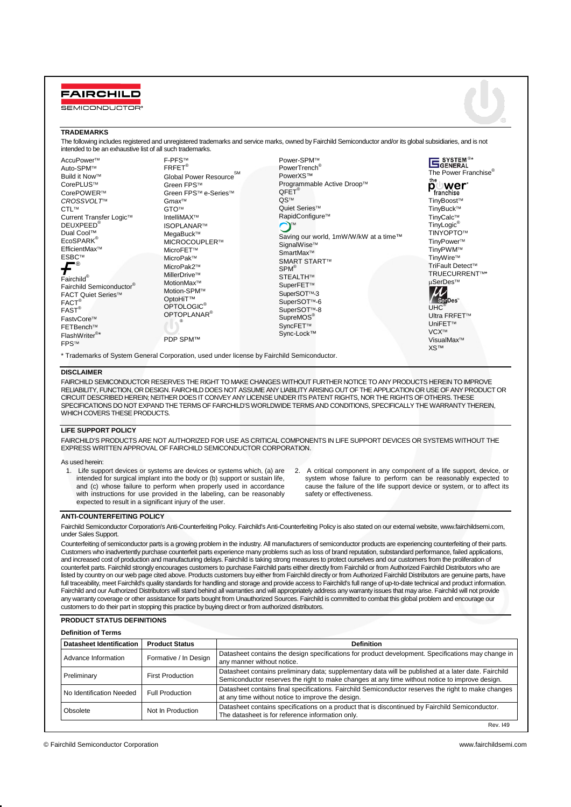# **FAIRCHILD**

### **SEMICONDUCTOR**

#### **TRADEMARKS**

The following includes registered and unregistered trademarks and service marks, owned by Fairchild Semiconductor and/or its global subsidiaries, and is not intended to be an exhaustive list of all such trademarks. SYSTEM<sup>®\*</sup>

|                                                       | F-PFS™                  |                                        |
|-------------------------------------------------------|-------------------------|----------------------------------------|
| AccuPower™                                            | FRFET <sup>®</sup>      | Power-SPM™<br>PowerTrench <sup>®</sup> |
| Auto-SPM™                                             | <b>SM</b>               |                                        |
| <b>Build it Now™</b>                                  | Global Power Resource   | PowerXS™                               |
| CorePLUS™                                             | Green FPS™              | Programmable Active Droop™             |
| CorePOWER™                                            | Green FPS™ e-Series™    | $QFET^{\otimes}$                       |
| CROSSVOLT <sup>™</sup>                                | Gmax <sup>™</sup>       | QS™                                    |
| CTL™                                                  | GTO™                    | Quiet Series™                          |
| Current Transfer Logic™                               | IntelliMAX™             | RapidConfigure™                        |
| DEUXPEED <sup>®</sup>                                 | ISOPLANAR™              |                                        |
| Dual Cool™                                            | MegaBuck™               | Saving our world, 1mW/W/kW at a time™  |
| EcoSPARK <sup>®</sup>                                 | MICROCOUPLER™           |                                        |
| EfficientMax™                                         | MicroFET™               | SignalWise™                            |
| ESBC™                                                 | MicroPak™               | SmartMax <sup>™</sup>                  |
| $\check{\bm{\mathsf{F}}}^{\scriptscriptstyle{\circ}}$ |                         | <b>SMART START™</b>                    |
|                                                       | MicroPak2™              | $SPM^{\circledR}$                      |
| Fairchild®                                            | MillerDrive™            | STEALTH™                               |
| Fairchild Semiconductor®                              | MotionMax™              | SuperFET™                              |
| FACT Quiet Series™                                    | Motion-SPM™             | SuperSOT <sup>™</sup> -3               |
| FACT <sup>®</sup>                                     | OptoHiT™                | SuperSOT <sup>™</sup> -6               |
| $FAST^{\circledR}$                                    | OPTOLOGIC <sup>®</sup>  | SuperSOT <sup>™-8</sup>                |
| FastvCore™                                            | OPTOPLANAR <sup>®</sup> | SupreMOS <sup>®</sup>                  |
| FETBench™                                             |                         | SyncFET™                               |
| FlashWriter <sup>®*</sup>                             |                         | Sync-Lock™                             |
| <b>FPS™</b>                                           | <b>PDP SPM™</b>         |                                        |

\* Trademarks of System General Corporation, used under license by Fairchild Semiconductor.

### **DISCLAIMER**

FAIRCHILD SEMICONDUCTOR RESERVES THE RIGHT TO MAKE CHANGES WITHOUT FURTHER NOTICE TO ANY PRODUCTS HEREIN TO IMPROVE RELIABILITY, FUNCTION, OR DESIGN. FAIRCHILD DOES NOT ASSUME ANY LIABILITY ARISING OUT OF THE APPLICATION OR USE OF ANY PRODUCT OR CIRCUIT DESCRIBED HEREIN; NEITHER DOES IT CONVEY ANY LICENSE UNDER ITS PATENT RIGHTS, NOR THE RIGHTS OF OTHERS. THESE SPECIFICATIONS DO NOT EXPAND THE TERMS OF FAIRCHILD'S WORLDWIDE TERMS AND CONDITIONS, SPECIFICALLY THE WARRANTY THEREIN, WHICH COVERS THESE PRODUCTS.

#### **LIFE SUPPORT POLICY**

FAIRCHILD'S PRODUCTS ARE NOT AUTHORIZED FOR USE AS CRITICAL COMPONENTS IN LIFE SUPPORT DEVICES OR SYSTEMS WITHOUT THE EXPRESS WRITTEN APPROVAL OF FAIRCHILD SEMICONDUCTOR CORPORATION.

#### As used herein:

- 1. Life support devices or systems are devices or systems which, (a) are intended for surgical implant into the body or (b) support or sustain life, and (c) whose failure to perform when properly used in accordance with instructions for use provided in the labeling, can be reasonably expected to result in a significant injury of the user.
- 2. A critical component in any component of a life support, device, or system whose failure to perform can be reasonably expected to cause the failure of the life support device or system, or to affect its safety or effectiveness.

The Power Franchise<sup>®</sup><br> **D**<sup>the</sup><br> **D**<sup>t</sup>

TinyBoost™ TinyBuck™ TinyCalc<sup>™</sup> TinyLogic® **TINYOPTO**™ TinyPower™ TinyPWM™ TinyWire™ TriFault Detect™ **TRUECURRENT™**\*

franchise

 $\mu$ SerDes™<br>
PSerDes UHC<sup>®</sup> Ultra FRFET<sup>™</sup> **UniFFT**<sup>W</sup> VCX™ VisualMax<sup>™</sup> XS™

#### **ANTI-COUNTERFEITING POLICY**

Fairchild Semiconductor Corporation's Anti-Counterfeiting Policy. Fairchild's Anti-Counterfeiting Policy is also stated on our external website, www.fairchildsemi.com, under Sales Support.

Counterfeiting of semiconductor parts is a growing problem in the industry. All manufacturers of semiconductor products are experiencing counterfeiting of their parts. Customers who inadvertently purchase counterfeit parts experience many problems such as loss of brand reputation, substandard performance, failed applications, and increased cost of production and manufacturing delays. Fairchild is taking strong measures to protect ourselves and our customers from the proliferation of counterfeit parts. Fairchild strongly encourages customers to purchase Fairchild parts either directly from Fairchild or from Authorized Fairchild Distributors who are listed by country on our web page cited above. Products customers buy either from Fairchild directly or from Authorized Fairchild Distributors are genuine parts, have full traceability, meet Fairchild's quality standards for handling and storage and provide access to Fairchild's full range of up-to-date technical and product information. Fairchild and our Authorized Distributors will stand behind all warranties and will appropriately address any warranty issues that may arise. Fairchild will not provide any warranty coverage or other assistance for parts bought from Unauthorized Sources. Fairchild is committed to combat this global problem and encourage our customers to do their part in stopping this practice by buying direct or from authorized distributors.

at any time without notice to improve the design. Obsolete Not In Production Datasheet contains specifications on a product that is discontinued by Fairchild Semiconductor. The datasheet is for reference information only.

### **PRODUCT STATUS DEFINITIONS**

| <b>Definition of Terms</b> |                         |                                                                                                                                                                                                        |  |  |  |
|----------------------------|-------------------------|--------------------------------------------------------------------------------------------------------------------------------------------------------------------------------------------------------|--|--|--|
| Datasheet Identification   | <b>Product Status</b>   | <b>Definition</b>                                                                                                                                                                                      |  |  |  |
| Advance Information        | Formative / In Design   | Datasheet contains the design specifications for product development. Specifications may change in<br>any manner without notice.                                                                       |  |  |  |
| Preliminary                | <b>First Production</b> | Datasheet contains preliminary data; supplementary data will be published at a later date. Fairchild<br>Semiconductor reserves the right to make changes at any time without notice to improve design. |  |  |  |
| No Identification Needed   | <b>Full Production</b>  | Datasheet contains final specifications. Fairchild Semiconductor reserves the right to make changes                                                                                                    |  |  |  |

Rev. I49